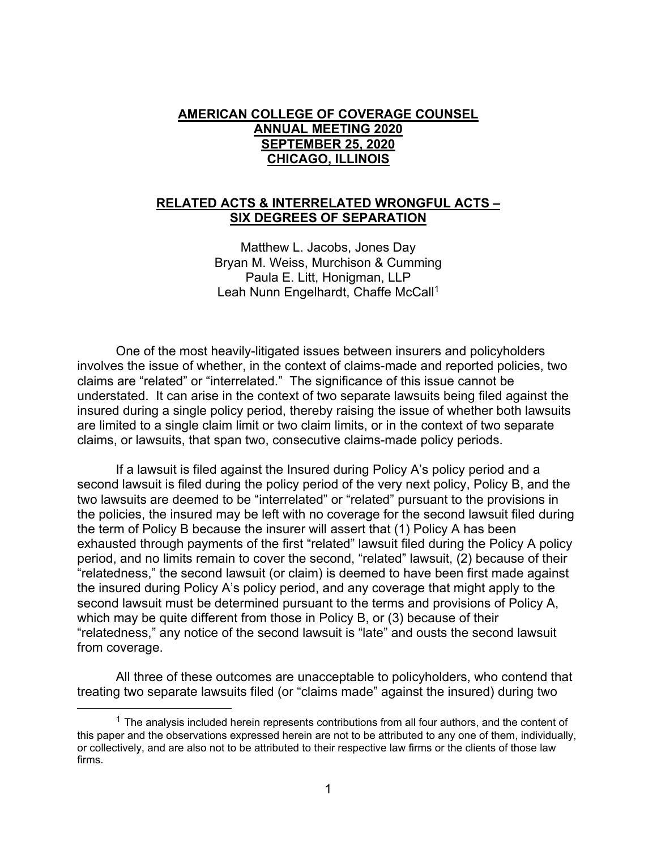## **AMERICAN COLLEGE OF COVERAGE COUNSEL ANNUAL MEETING 2020 SEPTEMBER 25, 2020 CHICAGO, ILLINOIS**

#### **RELATED ACTS & INTERRELATED WRONGFUL ACTS – SIX DEGREES OF SEPARATION**

Matthew L. Jacobs, Jones Day Bryan M. Weiss, Murchison & Cumming Paula E. Litt, Honigman, LLP Leah Nunn Engelhardt, Chaffe McCall<sup>1</sup>

 One of the most heavily-litigated issues between insurers and policyholders involves the issue of whether, in the context of claims-made and reported policies, two claims are "related" or "interrelated." The significance of this issue cannot be understated. It can arise in the context of two separate lawsuits being filed against the insured during a single policy period, thereby raising the issue of whether both lawsuits are limited to a single claim limit or two claim limits, or in the context of two separate claims, or lawsuits, that span two, consecutive claims-made policy periods.

 If a lawsuit is filed against the Insured during Policy A's policy period and a second lawsuit is filed during the policy period of the very next policy, Policy B, and the two lawsuits are deemed to be "interrelated" or "related" pursuant to the provisions in the policies, the insured may be left with no coverage for the second lawsuit filed during the term of Policy B because the insurer will assert that (1) Policy A has been exhausted through payments of the first "related" lawsuit filed during the Policy A policy period, and no limits remain to cover the second, "related" lawsuit, (2) because of their "relatedness," the second lawsuit (or claim) is deemed to have been first made against the insured during Policy A's policy period, and any coverage that might apply to the second lawsuit must be determined pursuant to the terms and provisions of Policy A, which may be quite different from those in Policy B, or (3) because of their "relatedness," any notice of the second lawsuit is "late" and ousts the second lawsuit from coverage.

 All three of these outcomes are unacceptable to policyholders, who contend that treating two separate lawsuits filed (or "claims made" against the insured) during two

 $<sup>1</sup>$  The analysis included herein represents contributions from all four authors, and the content of</sup> this paper and the observations expressed herein are not to be attributed to any one of them, individually, or collectively, and are also not to be attributed to their respective law firms or the clients of those law firms.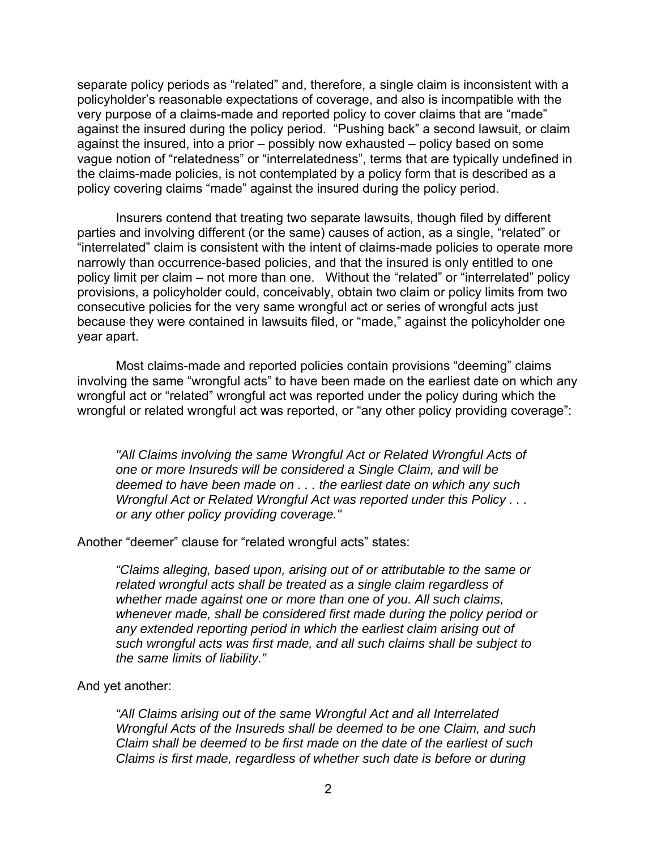separate policy periods as "related" and, therefore, a single claim is inconsistent with a policyholder's reasonable expectations of coverage, and also is incompatible with the very purpose of a claims-made and reported policy to cover claims that are "made" against the insured during the policy period. "Pushing back" a second lawsuit, or claim against the insured, into a prior – possibly now exhausted – policy based on some vague notion of "relatedness" or "interrelatedness", terms that are typically undefined in the claims-made policies, is not contemplated by a policy form that is described as a policy covering claims "made" against the insured during the policy period.

 Insurers contend that treating two separate lawsuits, though filed by different parties and involving different (or the same) causes of action, as a single, "related" or "interrelated" claim is consistent with the intent of claims-made policies to operate more narrowly than occurrence-based policies, and that the insured is only entitled to one policy limit per claim – not more than one. Without the "related" or "interrelated" policy provisions, a policyholder could, conceivably, obtain two claim or policy limits from two consecutive policies for the very same wrongful act or series of wrongful acts just because they were contained in lawsuits filed, or "made," against the policyholder one year apart.

 Most claims-made and reported policies contain provisions "deeming" claims involving the same "wrongful acts" to have been made on the earliest date on which any wrongful act or "related" wrongful act was reported under the policy during which the wrongful or related wrongful act was reported, or "any other policy providing coverage":

*"All Claims involving the same Wrongful Act or Related Wrongful Acts of one or more Insureds will be considered a Single Claim, and will be deemed to have been made on . . . the earliest date on which any such Wrongful Act or Related Wrongful Act was reported under this Policy . . . or any other policy providing coverage."* 

Another "deemer" clause for "related wrongful acts" states:

 *"Claims alleging, based upon, arising out of or attributable to the same or related wrongful acts shall be treated as a single claim regardless of whether made against one or more than one of you. All such claims, whenever made, shall be considered first made during the policy period or any extended reporting period in which the earliest claim arising out of such wrongful acts was first made, and all such claims shall be subject to the same limits of liability."* 

And yet another:

*"All Claims arising out of the same Wrongful Act and all Interrelated Wrongful Acts of the Insureds shall be deemed to be one Claim, and such Claim shall be deemed to be first made on the date of the earliest of such Claims is first made, regardless of whether such date is before or during*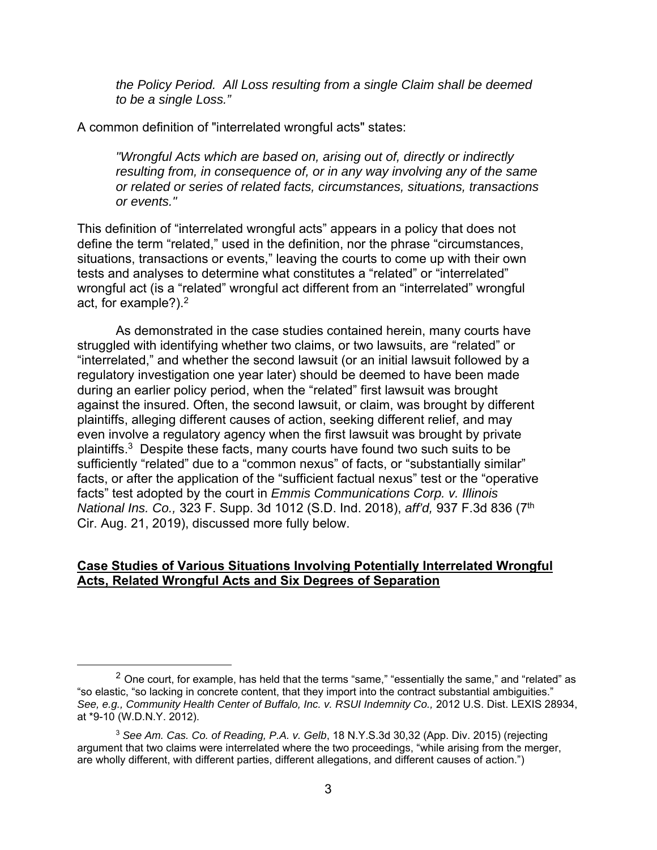*the Policy Period. All Loss resulting from a single Claim shall be deemed to be a single Loss."* 

A common definition of "interrelated wrongful acts" states:

*"Wrongful Acts which are based on, arising out of, directly or indirectly resulting from, in consequence of, or in any way involving any of the same or related or series of related facts, circumstances, situations, transactions or events."* 

This definition of "interrelated wrongful acts" appears in a policy that does not define the term "related," used in the definition, nor the phrase "circumstances, situations, transactions or events," leaving the courts to come up with their own tests and analyses to determine what constitutes a "related" or "interrelated" wrongful act (is a "related" wrongful act different from an "interrelated" wrongful act, for example?). $2^2$ 

 As demonstrated in the case studies contained herein, many courts have struggled with identifying whether two claims, or two lawsuits, are "related" or "interrelated," and whether the second lawsuit (or an initial lawsuit followed by a regulatory investigation one year later) should be deemed to have been made during an earlier policy period, when the "related" first lawsuit was brought against the insured. Often, the second lawsuit, or claim, was brought by different plaintiffs, alleging different causes of action, seeking different relief, and may even involve a regulatory agency when the first lawsuit was brought by private plaintiffs.3 Despite these facts, many courts have found two such suits to be sufficiently "related" due to a "common nexus" of facts, or "substantially similar" facts, or after the application of the "sufficient factual nexus" test or the "operative facts" test adopted by the court in *Emmis Communications Corp. v. Illinois National Ins. Co.,* 323 F. Supp. 3d 1012 (S.D. Ind. 2018), *aff'd,* 937 F.3d 836 (7th Cir. Aug. 21, 2019), discussed more fully below.

#### **Case Studies of Various Situations Involving Potentially Interrelated Wrongful Acts, Related Wrongful Acts and Six Degrees of Separation**

 $2$  One court, for example, has held that the terms "same," "essentially the same," and "related" as "so elastic, "so lacking in concrete content, that they import into the contract substantial ambiguities." *See, e.g., Community Health Center of Buffalo, Inc. v. RSUI Indemnity Co.,* 2012 U.S. Dist. LEXIS 28934, at \*9-10 (W.D.N.Y. 2012).

<sup>3</sup> *See Am. Cas. Co. of Reading, P.A. v. Gelb*, 18 N.Y.S.3d 30,32 (App. Div. 2015) (rejecting argument that two claims were interrelated where the two proceedings, "while arising from the merger, are wholly different, with different parties, different allegations, and different causes of action.")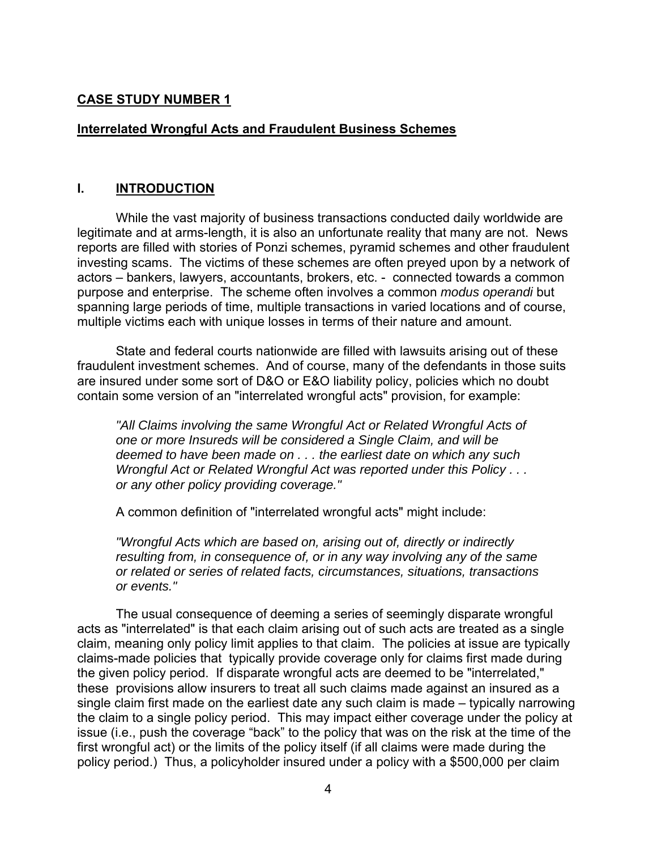## **CASE STUDY NUMBER 1**

## **Interrelated Wrongful Acts and Fraudulent Business Schemes**

### **I. INTRODUCTION**

 While the vast majority of business transactions conducted daily worldwide are legitimate and at arms-length, it is also an unfortunate reality that many are not. News reports are filled with stories of Ponzi schemes, pyramid schemes and other fraudulent investing scams. The victims of these schemes are often preyed upon by a network of actors – bankers, lawyers, accountants, brokers, etc. - connected towards a common purpose and enterprise. The scheme often involves a common *modus operandi* but spanning large periods of time, multiple transactions in varied locations and of course, multiple victims each with unique losses in terms of their nature and amount.

 State and federal courts nationwide are filled with lawsuits arising out of these fraudulent investment schemes. And of course, many of the defendants in those suits are insured under some sort of D&O or E&O liability policy, policies which no doubt contain some version of an "interrelated wrongful acts" provision, for example:

*"All Claims involving the same Wrongful Act or Related Wrongful Acts of one or more Insureds will be considered a Single Claim, and will be deemed to have been made on . . . the earliest date on which any such Wrongful Act or Related Wrongful Act was reported under this Policy . . . or any other policy providing coverage."* 

A common definition of "interrelated wrongful acts" might include:

*"Wrongful Acts which are based on, arising out of, directly or indirectly resulting from, in consequence of, or in any way involving any of the same or related or series of related facts, circumstances, situations, transactions or events."* 

 The usual consequence of deeming a series of seemingly disparate wrongful acts as "interrelated" is that each claim arising out of such acts are treated as a single claim, meaning only policy limit applies to that claim. The policies at issue are typically claims-made policies that typically provide coverage only for claims first made during the given policy period. If disparate wrongful acts are deemed to be "interrelated," these provisions allow insurers to treat all such claims made against an insured as a single claim first made on the earliest date any such claim is made – typically narrowing the claim to a single policy period. This may impact either coverage under the policy at issue (i.e., push the coverage "back" to the policy that was on the risk at the time of the first wrongful act) or the limits of the policy itself (if all claims were made during the policy period.) Thus, a policyholder insured under a policy with a \$500,000 per claim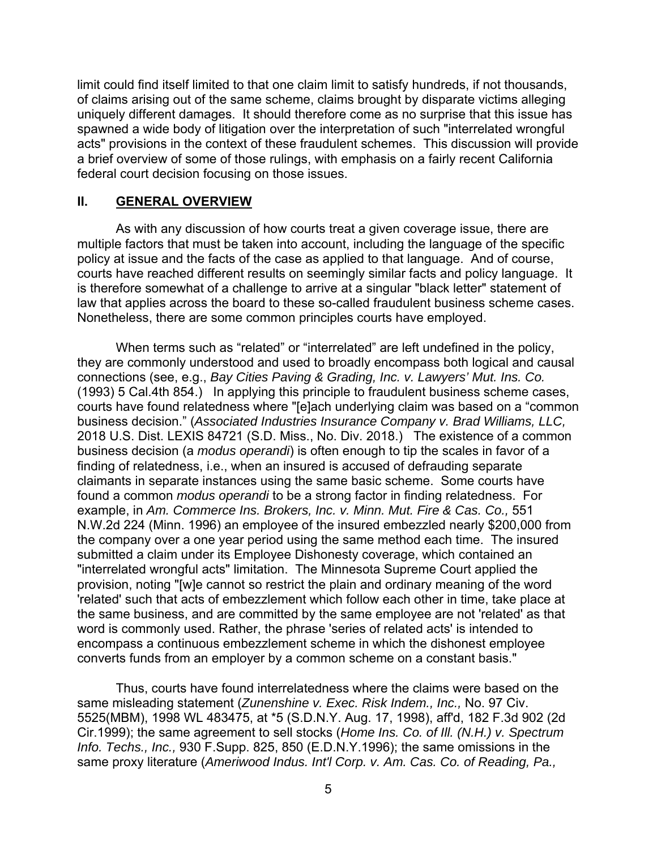limit could find itself limited to that one claim limit to satisfy hundreds, if not thousands, of claims arising out of the same scheme, claims brought by disparate victims alleging uniquely different damages. It should therefore come as no surprise that this issue has spawned a wide body of litigation over the interpretation of such "interrelated wrongful acts" provisions in the context of these fraudulent schemes. This discussion will provide a brief overview of some of those rulings, with emphasis on a fairly recent California federal court decision focusing on those issues.

### **II. GENERAL OVERVIEW**

 As with any discussion of how courts treat a given coverage issue, there are multiple factors that must be taken into account, including the language of the specific policy at issue and the facts of the case as applied to that language. And of course, courts have reached different results on seemingly similar facts and policy language. It is therefore somewhat of a challenge to arrive at a singular "black letter" statement of law that applies across the board to these so-called fraudulent business scheme cases. Nonetheless, there are some common principles courts have employed.

 When terms such as "related" or "interrelated" are left undefined in the policy, they are commonly understood and used to broadly encompass both logical and causal connections (see, e.g., *Bay Cities Paving & Grading, Inc. v. Lawyers' Mut. Ins. Co.* (1993) 5 Cal.4th 854.) In applying this principle to fraudulent business scheme cases, courts have found relatedness where "[e]ach underlying claim was based on a "common business decision." (*Associated Industries Insurance Company v. Brad Williams, LLC,* 2018 U.S. Dist. LEXIS 84721 (S.D. Miss., No. Div. 2018.) The existence of a common business decision (a *modus operandi*) is often enough to tip the scales in favor of a finding of relatedness, i.e., when an insured is accused of defrauding separate claimants in separate instances using the same basic scheme. Some courts have found a common *modus operandi* to be a strong factor in finding relatedness. For example, in *Am. Commerce Ins. Brokers, Inc. v. Minn. Mut. Fire & Cas. Co.,* 551 N.W.2d 224 (Minn. 1996) an employee of the insured embezzled nearly \$200,000 from the company over a one year period using the same method each time. The insured submitted a claim under its Employee Dishonesty coverage, which contained an "interrelated wrongful acts" limitation. The Minnesota Supreme Court applied the provision, noting "[w]e cannot so restrict the plain and ordinary meaning of the word 'related' such that acts of embezzlement which follow each other in time, take place at the same business, and are committed by the same employee are not 'related' as that word is commonly used. Rather, the phrase 'series of related acts' is intended to encompass a continuous embezzlement scheme in which the dishonest employee converts funds from an employer by a common scheme on a constant basis."

 Thus, courts have found interrelatedness where the claims were based on the same misleading statement (*Zunenshine v. Exec. Risk Indem., Inc.,* No. 97 Civ. 5525(MBM), 1998 WL 483475, at \*5 (S.D.N.Y. Aug. 17, 1998), aff'd, 182 F.3d 902 (2d Cir.1999); the same agreement to sell stocks (*Home Ins. Co. of Ill. (N.H.) v. Spectrum Info. Techs., Inc.,* 930 F.Supp. 825, 850 (E.D.N.Y.1996); the same omissions in the same proxy literature (*Ameriwood Indus. Int'l Corp. v. Am. Cas. Co. of Reading, Pa.,*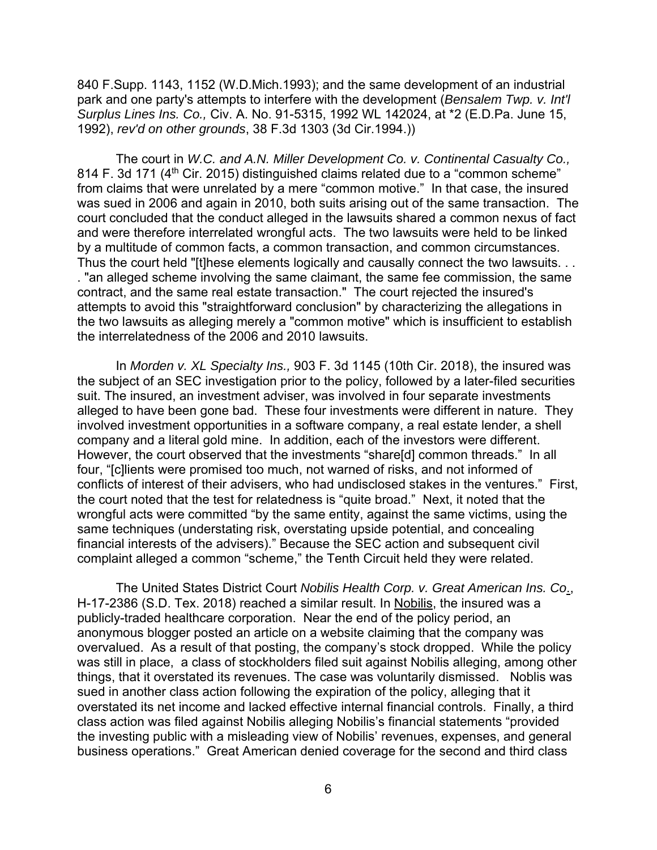840 F.Supp. 1143, 1152 (W.D.Mich.1993); and the same development of an industrial park and one party's attempts to interfere with the development (*Bensalem Twp. v. Int'l Surplus Lines Ins. Co.,* Civ. A. No. 91-5315, 1992 WL 142024, at \*2 (E.D.Pa. June 15, 1992), *rev'd on other grounds*, 38 F.3d 1303 (3d Cir.1994.))

 The court in *W.C. and A.N. Miller Development Co. v. Continental Casualty Co.,* 814 F. 3d 171 (4<sup>th</sup> Cir. 2015) distinguished claims related due to a "common scheme" from claims that were unrelated by a mere "common motive." In that case, the insured was sued in 2006 and again in 2010, both suits arising out of the same transaction. The court concluded that the conduct alleged in the lawsuits shared a common nexus of fact and were therefore interrelated wrongful acts. The two lawsuits were held to be linked by a multitude of common facts, a common transaction, and common circumstances. Thus the court held "[t]hese elements logically and causally connect the two lawsuits. . . . "an alleged scheme involving the same claimant, the same fee commission, the same contract, and the same real estate transaction." The court rejected the insured's attempts to avoid this "straightforward conclusion" by characterizing the allegations in the two lawsuits as alleging merely a "common motive" which is insufficient to establish the interrelatedness of the 2006 and 2010 lawsuits.

 In *Morden v. XL Specialty Ins.,* 903 F. 3d 1145 (10th Cir. 2018), the insured was the subject of an SEC investigation prior to the policy, followed by a later-filed securities suit. The insured, an investment adviser, was involved in four separate investments alleged to have been gone bad. These four investments were different in nature. They involved investment opportunities in a software company, a real estate lender, a shell company and a literal gold mine. In addition, each of the investors were different. However, the court observed that the investments "share[d] common threads." In all four, "[c]lients were promised too much, not warned of risks, and not informed of conflicts of interest of their advisers, who had undisclosed stakes in the ventures." First, the court noted that the test for relatedness is "quite broad." Next, it noted that the wrongful acts were committed "by the same entity, against the same victims, using the same techniques (understating risk, overstating upside potential, and concealing financial interests of the advisers)." Because the SEC action and subsequent civil complaint alleged a common "scheme," the Tenth Circuit held they were related.

 The United States District Court *Nobilis Health Corp. v. Great American Ins. Co*., H-17-2386 (S.D. Tex. 2018) reached a similar result. In Nobilis, the insured was a publicly-traded healthcare corporation. Near the end of the policy period, an anonymous blogger posted an article on a website claiming that the company was overvalued. As a result of that posting, the company's stock dropped. While the policy was still in place, a class of stockholders filed suit against Nobilis alleging, among other things, that it overstated its revenues. The case was voluntarily dismissed. Noblis was sued in another class action following the expiration of the policy, alleging that it overstated its net income and lacked effective internal financial controls. Finally, a third class action was filed against Nobilis alleging Nobilis's financial statements "provided the investing public with a misleading view of Nobilis' revenues, expenses, and general business operations." Great American denied coverage for the second and third class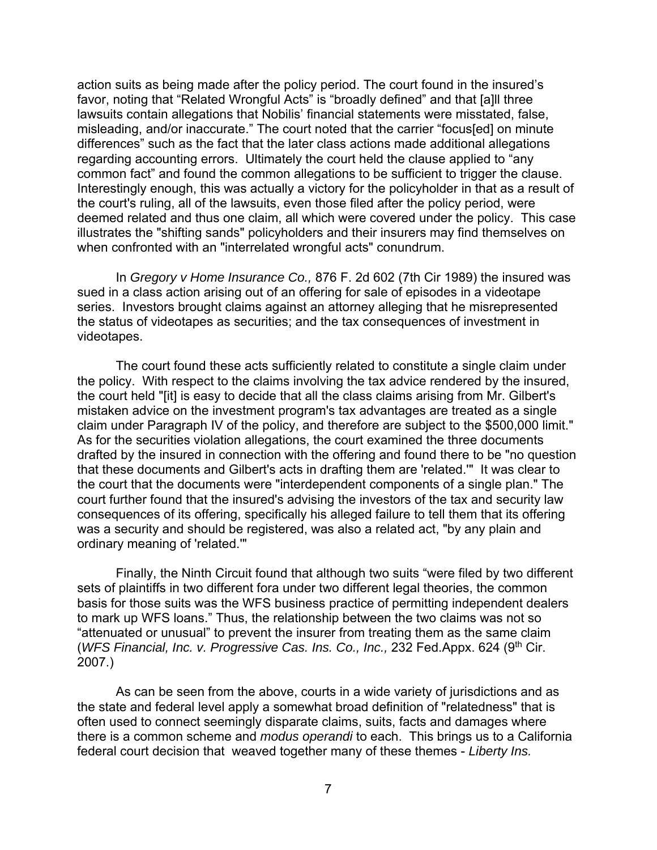action suits as being made after the policy period. The court found in the insured's favor, noting that "Related Wrongful Acts" is "broadly defined" and that [a]ll three lawsuits contain allegations that Nobilis' financial statements were misstated, false, misleading, and/or inaccurate." The court noted that the carrier "focus[ed] on minute differences" such as the fact that the later class actions made additional allegations regarding accounting errors. Ultimately the court held the clause applied to "any common fact" and found the common allegations to be sufficient to trigger the clause. Interestingly enough, this was actually a victory for the policyholder in that as a result of the court's ruling, all of the lawsuits, even those filed after the policy period, were deemed related and thus one claim, all which were covered under the policy. This case illustrates the "shifting sands" policyholders and their insurers may find themselves on when confronted with an "interrelated wrongful acts" conundrum.

 In *Gregory v Home Insurance Co.,* 876 F. 2d 602 (7th Cir 1989) the insured was sued in a class action arising out of an offering for sale of episodes in a videotape series. Investors brought claims against an attorney alleging that he misrepresented the status of videotapes as securities; and the tax consequences of investment in videotapes.

 The court found these acts sufficiently related to constitute a single claim under the policy. With respect to the claims involving the tax advice rendered by the insured, the court held "[it] is easy to decide that all the class claims arising from Mr. Gilbert's mistaken advice on the investment program's tax advantages are treated as a single claim under Paragraph IV of the policy, and therefore are subject to the \$500,000 limit." As for the securities violation allegations, the court examined the three documents drafted by the insured in connection with the offering and found there to be "no question that these documents and Gilbert's acts in drafting them are 'related.'" It was clear to the court that the documents were "interdependent components of a single plan." The court further found that the insured's advising the investors of the tax and security law consequences of its offering, specifically his alleged failure to tell them that its offering was a security and should be registered, was also a related act, "by any plain and ordinary meaning of 'related.'"

 Finally, the Ninth Circuit found that although two suits "were filed by two different sets of plaintiffs in two different fora under two different legal theories, the common basis for those suits was the WFS business practice of permitting independent dealers to mark up WFS loans." Thus, the relationship between the two claims was not so "attenuated or unusual" to prevent the insurer from treating them as the same claim (*WFS Financial, Inc. v. Progressive Cas. Ins. Co., Inc., 232 Fed.Appx. 624 (9<sup>th</sup> Cir.* 2007.)

 As can be seen from the above, courts in a wide variety of jurisdictions and as the state and federal level apply a somewhat broad definition of "relatedness" that is often used to connect seemingly disparate claims, suits, facts and damages where there is a common scheme and *modus operandi* to each. This brings us to a California federal court decision that weaved together many of these themes - *Liberty Ins.*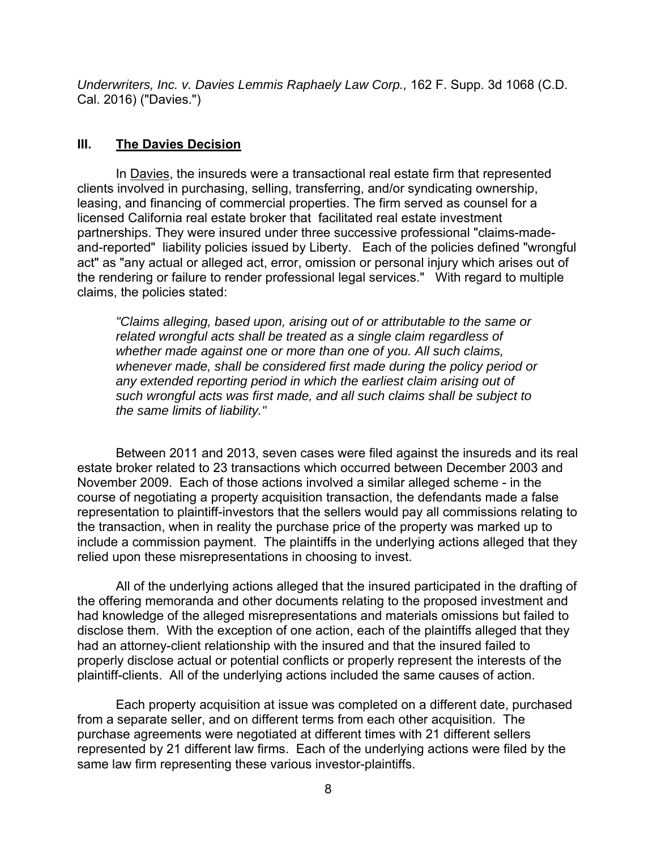*Underwriters, Inc. v. Davies Lemmis Raphaely Law Corp.,* 162 F. Supp. 3d 1068 (C.D. Cal. 2016) ("Davies.")

## **III. The Davies Decision**

 In Davies, the insureds were a transactional real estate firm that represented clients involved in purchasing, selling, transferring, and/or syndicating ownership, leasing, and financing of commercial properties. The firm served as counsel for a licensed California real estate broker that facilitated real estate investment partnerships. They were insured under three successive professional "claims-madeand-reported" liability policies issued by Liberty. Each of the policies defined "wrongful act" as "any actual or alleged act, error, omission or personal injury which arises out of the rendering or failure to render professional legal services." With regard to multiple claims, the policies stated:

*"Claims alleging, based upon, arising out of or attributable to the same or related wrongful acts shall be treated as a single claim regardless of whether made against one or more than one of you. All such claims, whenever made, shall be considered first made during the policy period or any extended reporting period in which the earliest claim arising out of such wrongful acts was first made, and all such claims shall be subject to the same limits of liability."* 

 Between 2011 and 2013, seven cases were filed against the insureds and its real estate broker related to 23 transactions which occurred between December 2003 and November 2009. Each of those actions involved a similar alleged scheme - in the course of negotiating a property acquisition transaction, the defendants made a false representation to plaintiff-investors that the sellers would pay all commissions relating to the transaction, when in reality the purchase price of the property was marked up to include a commission payment. The plaintiffs in the underlying actions alleged that they relied upon these misrepresentations in choosing to invest.

 All of the underlying actions alleged that the insured participated in the drafting of the offering memoranda and other documents relating to the proposed investment and had knowledge of the alleged misrepresentations and materials omissions but failed to disclose them. With the exception of one action, each of the plaintiffs alleged that they had an attorney-client relationship with the insured and that the insured failed to properly disclose actual or potential conflicts or properly represent the interests of the plaintiff-clients. All of the underlying actions included the same causes of action.

 Each property acquisition at issue was completed on a different date, purchased from a separate seller, and on different terms from each other acquisition. The purchase agreements were negotiated at different times with 21 different sellers represented by 21 different law firms. Each of the underlying actions were filed by the same law firm representing these various investor-plaintiffs.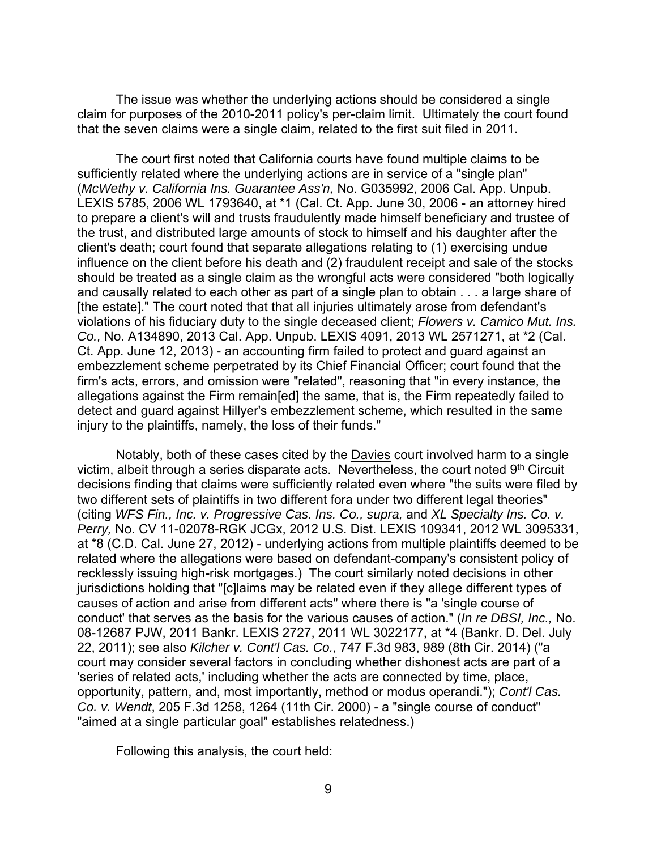The issue was whether the underlying actions should be considered a single claim for purposes of the 2010-2011 policy's per-claim limit. Ultimately the court found that the seven claims were a single claim, related to the first suit filed in 2011.

 The court first noted that California courts have found multiple claims to be sufficiently related where the underlying actions are in service of a "single plan" (*McWethy v. California Ins. Guarantee Ass'n,* No. G035992, 2006 Cal. App. Unpub. LEXIS 5785, 2006 WL 1793640, at \*1 (Cal. Ct. App. June 30, 2006 - an attorney hired to prepare a client's will and trusts fraudulently made himself beneficiary and trustee of the trust, and distributed large amounts of stock to himself and his daughter after the client's death; court found that separate allegations relating to (1) exercising undue influence on the client before his death and (2) fraudulent receipt and sale of the stocks should be treated as a single claim as the wrongful acts were considered "both logically and causally related to each other as part of a single plan to obtain . . . a large share of [the estate]." The court noted that that all injuries ultimately arose from defendant's violations of his fiduciary duty to the single deceased client; *Flowers v. Camico Mut. Ins. Co.,* No. A134890, 2013 Cal. App. Unpub. LEXIS 4091, 2013 WL 2571271, at \*2 (Cal. Ct. App. June 12, 2013) - an accounting firm failed to protect and guard against an embezzlement scheme perpetrated by its Chief Financial Officer; court found that the firm's acts, errors, and omission were "related", reasoning that "in every instance, the allegations against the Firm remain[ed] the same, that is, the Firm repeatedly failed to detect and guard against Hillyer's embezzlement scheme, which resulted in the same injury to the plaintiffs, namely, the loss of their funds."

 Notably, both of these cases cited by the Davies court involved harm to a single victim, albeit through a series disparate acts. Nevertheless, the court noted 9<sup>th</sup> Circuit decisions finding that claims were sufficiently related even where "the suits were filed by two different sets of plaintiffs in two different fora under two different legal theories" (citing *WFS Fin., Inc. v. Progressive Cas. Ins. Co., supra,* and *XL Specialty Ins. Co. v. Perry,* No. CV 11-02078-RGK JCGx, 2012 U.S. Dist. LEXIS 109341, 2012 WL 3095331, at \*8 (C.D. Cal. June 27, 2012) - underlying actions from multiple plaintiffs deemed to be related where the allegations were based on defendant-company's consistent policy of recklessly issuing high-risk mortgages.) The court similarly noted decisions in other jurisdictions holding that "[c]laims may be related even if they allege different types of causes of action and arise from different acts" where there is "a 'single course of conduct' that serves as the basis for the various causes of action." (*In re DBSI, Inc.,* No. 08-12687 PJW, 2011 Bankr. LEXIS 2727, 2011 WL 3022177, at \*4 (Bankr. D. Del. July 22, 2011); see also *Kilcher v. Cont'l Cas. Co.,* 747 F.3d 983, 989 (8th Cir. 2014) ("a court may consider several factors in concluding whether dishonest acts are part of a 'series of related acts,' including whether the acts are connected by time, place, opportunity, pattern, and, most importantly, method or modus operandi."); *Cont'l Cas. Co. v. Wendt*, 205 F.3d 1258, 1264 (11th Cir. 2000) - a "single course of conduct" "aimed at a single particular goal" establishes relatedness.)

Following this analysis, the court held: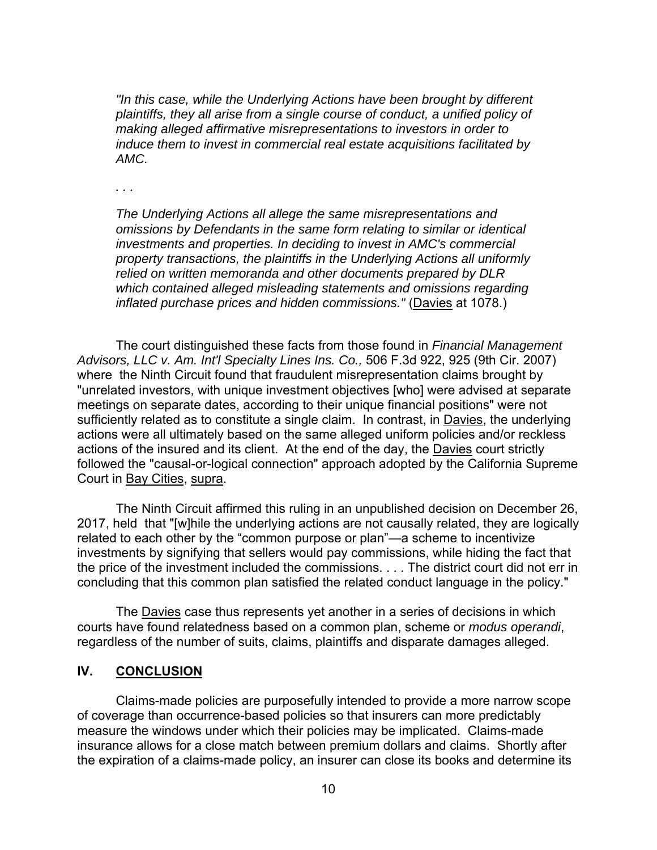*"In this case, while the Underlying Actions have been brought by different plaintiffs, they all arise from a single course of conduct, a unified policy of making alleged affirmative misrepresentations to investors in order to induce them to invest in commercial real estate acquisitions facilitated by AMC.* 

*. . .* 

*The Underlying Actions all allege the same misrepresentations and omissions by Defendants in the same form relating to similar or identical investments and properties. In deciding to invest in AMC's commercial property transactions, the plaintiffs in the Underlying Actions all uniformly relied on written memoranda and other documents prepared by DLR which contained alleged misleading statements and omissions regarding inflated purchase prices and hidden commissions."* (Davies at 1078.)

 The court distinguished these facts from those found in *Financial Management Advisors, LLC v. Am. Int'l Specialty Lines Ins. Co.,* 506 F.3d 922, 925 (9th Cir. 2007) where the Ninth Circuit found that fraudulent misrepresentation claims brought by "unrelated investors, with unique investment objectives [who] were advised at separate meetings on separate dates, according to their unique financial positions" were not sufficiently related as to constitute a single claim. In contrast, in Davies, the underlying actions were all ultimately based on the same alleged uniform policies and/or reckless actions of the insured and its client. At the end of the day, the Davies court strictly followed the "causal-or-logical connection" approach adopted by the California Supreme Court in Bay Cities, supra.

 The Ninth Circuit affirmed this ruling in an unpublished decision on December 26, 2017, held that "[w]hile the underlying actions are not causally related, they are logically related to each other by the "common purpose or plan"—a scheme to incentivize investments by signifying that sellers would pay commissions, while hiding the fact that the price of the investment included the commissions. . . . The district court did not err in concluding that this common plan satisfied the related conduct language in the policy."

The **Davies** case thus represents yet another in a series of decisions in which courts have found relatedness based on a common plan, scheme or *modus operandi*, regardless of the number of suits, claims, plaintiffs and disparate damages alleged.

#### **IV. CONCLUSION**

 Claims-made policies are purposefully intended to provide a more narrow scope of coverage than occurrence-based policies so that insurers can more predictably measure the windows under which their policies may be implicated. Claims-made insurance allows for a close match between premium dollars and claims. Shortly after the expiration of a claims-made policy, an insurer can close its books and determine its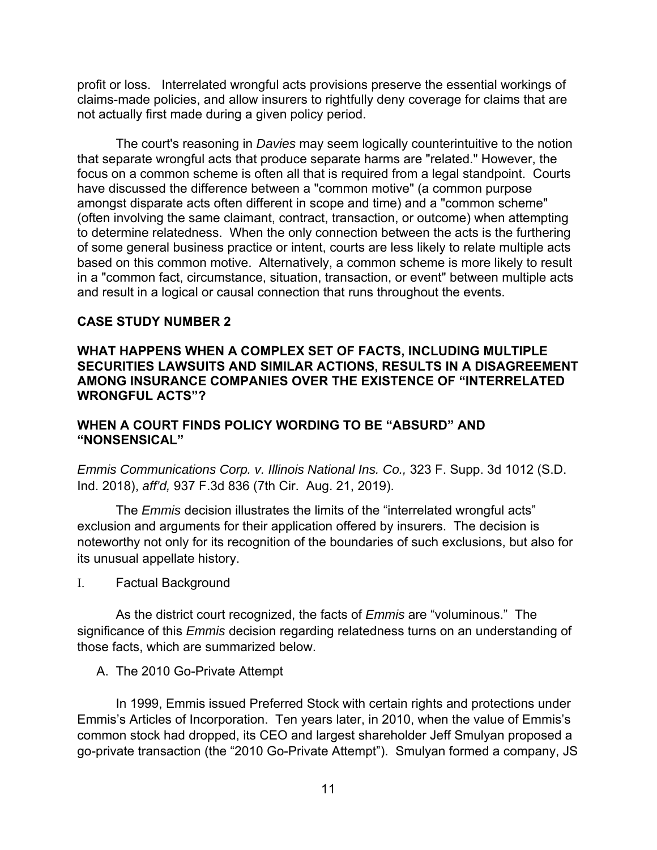profit or loss. Interrelated wrongful acts provisions preserve the essential workings of claims-made policies, and allow insurers to rightfully deny coverage for claims that are not actually first made during a given policy period.

 The court's reasoning in *Davies* may seem logically counterintuitive to the notion that separate wrongful acts that produce separate harms are "related." However, the focus on a common scheme is often all that is required from a legal standpoint. Courts have discussed the difference between a "common motive" (a common purpose amongst disparate acts often different in scope and time) and a "common scheme" (often involving the same claimant, contract, transaction, or outcome) when attempting to determine relatedness. When the only connection between the acts is the furthering of some general business practice or intent, courts are less likely to relate multiple acts based on this common motive. Alternatively, a common scheme is more likely to result in a "common fact, circumstance, situation, transaction, or event" between multiple acts and result in a logical or causal connection that runs throughout the events.

## **CASE STUDY NUMBER 2**

## **WHAT HAPPENS WHEN A COMPLEX SET OF FACTS, INCLUDING MULTIPLE SECURITIES LAWSUITS AND SIMILAR ACTIONS, RESULTS IN A DISAGREEMENT AMONG INSURANCE COMPANIES OVER THE EXISTENCE OF "INTERRELATED WRONGFUL ACTS"?**

## **WHEN A COURT FINDS POLICY WORDING TO BE "ABSURD" AND "NONSENSICAL"**

*Emmis Communications Corp. v. Illinois National Ins. Co.,* 323 F. Supp. 3d 1012 (S.D. Ind. 2018), *aff'd,* 937 F.3d 836 (7th Cir. Aug. 21, 2019).

 The *Emmis* decision illustrates the limits of the "interrelated wrongful acts" exclusion and arguments for their application offered by insurers. The decision is noteworthy not only for its recognition of the boundaries of such exclusions, but also for its unusual appellate history.

I. Factual Background

 As the district court recognized, the facts of *Emmis* are "voluminous." The significance of this *Emmis* decision regarding relatedness turns on an understanding of those facts, which are summarized below.

A. The 2010 Go-Private Attempt

 In 1999, Emmis issued Preferred Stock with certain rights and protections under Emmis's Articles of Incorporation. Ten years later, in 2010, when the value of Emmis's common stock had dropped, its CEO and largest shareholder Jeff Smulyan proposed a go-private transaction (the "2010 Go-Private Attempt"). Smulyan formed a company, JS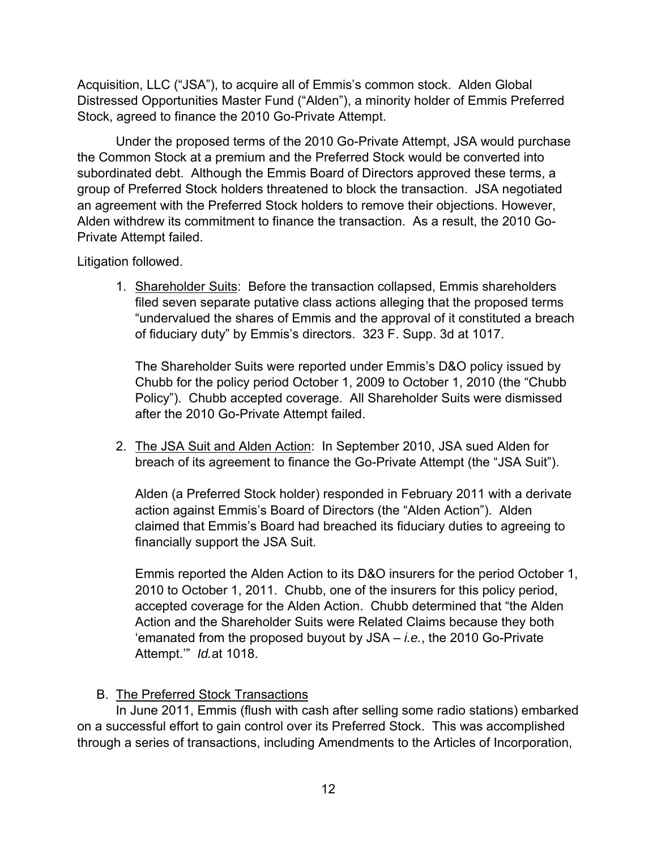Acquisition, LLC ("JSA"), to acquire all of Emmis's common stock. Alden Global Distressed Opportunities Master Fund ("Alden"), a minority holder of Emmis Preferred Stock, agreed to finance the 2010 Go-Private Attempt.

 Under the proposed terms of the 2010 Go-Private Attempt, JSA would purchase the Common Stock at a premium and the Preferred Stock would be converted into subordinated debt. Although the Emmis Board of Directors approved these terms, a group of Preferred Stock holders threatened to block the transaction. JSA negotiated an agreement with the Preferred Stock holders to remove their objections. However, Alden withdrew its commitment to finance the transaction. As a result, the 2010 Go-Private Attempt failed.

Litigation followed.

1. Shareholder Suits: Before the transaction collapsed, Emmis shareholders filed seven separate putative class actions alleging that the proposed terms "undervalued the shares of Emmis and the approval of it constituted a breach of fiduciary duty" by Emmis's directors. 323 F. Supp. 3d at 1017.

The Shareholder Suits were reported under Emmis's D&O policy issued by Chubb for the policy period October 1, 2009 to October 1, 2010 (the "Chubb Policy"). Chubb accepted coverage. All Shareholder Suits were dismissed after the 2010 Go-Private Attempt failed.

2. The JSA Suit and Alden Action: In September 2010, JSA sued Alden for breach of its agreement to finance the Go-Private Attempt (the "JSA Suit").

Alden (a Preferred Stock holder) responded in February 2011 with a derivate action against Emmis's Board of Directors (the "Alden Action"). Alden claimed that Emmis's Board had breached its fiduciary duties to agreeing to financially support the JSA Suit.

Emmis reported the Alden Action to its D&O insurers for the period October 1, 2010 to October 1, 2011. Chubb, one of the insurers for this policy period, accepted coverage for the Alden Action. Chubb determined that "the Alden Action and the Shareholder Suits were Related Claims because they both 'emanated from the proposed buyout by JSA – *i.e.*, the 2010 Go-Private Attempt.'" *Id.*at 1018.

B. The Preferred Stock Transactions

 In June 2011, Emmis (flush with cash after selling some radio stations) embarked on a successful effort to gain control over its Preferred Stock. This was accomplished through a series of transactions, including Amendments to the Articles of Incorporation,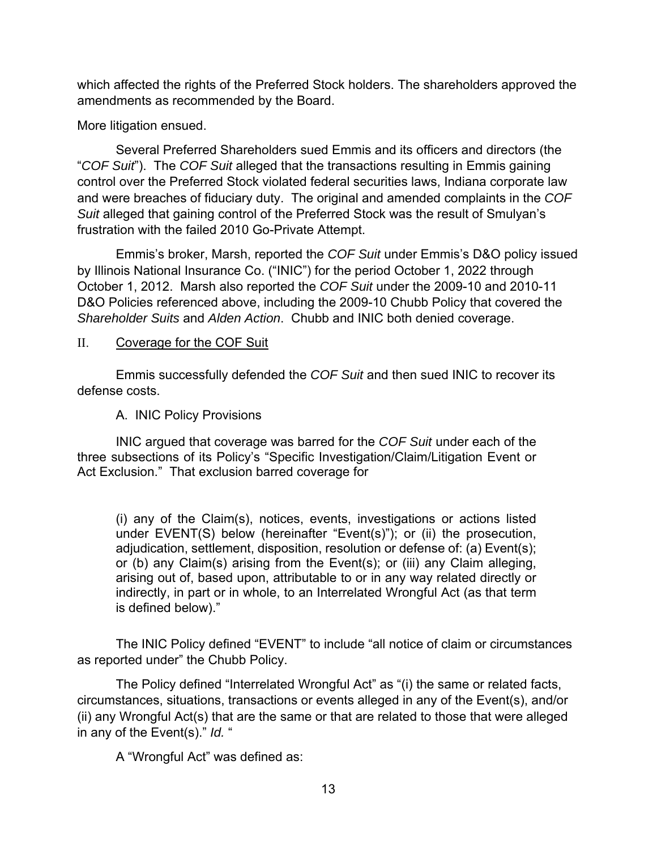which affected the rights of the Preferred Stock holders. The shareholders approved the amendments as recommended by the Board.

More litigation ensued.

 Several Preferred Shareholders sued Emmis and its officers and directors (the "*COF Suit*"). The *COF Suit* alleged that the transactions resulting in Emmis gaining control over the Preferred Stock violated federal securities laws, Indiana corporate law and were breaches of fiduciary duty. The original and amended complaints in the *COF Suit* alleged that gaining control of the Preferred Stock was the result of Smulyan's frustration with the failed 2010 Go-Private Attempt.

 Emmis's broker, Marsh, reported the *COF Suit* under Emmis's D&O policy issued by Illinois National Insurance Co. ("INIC") for the period October 1, 2022 through October 1, 2012. Marsh also reported the *COF Suit* under the 2009-10 and 2010-11 D&O Policies referenced above, including the 2009-10 Chubb Policy that covered the *Shareholder Suits* and *Alden Action*. Chubb and INIC both denied coverage.

## II. Coverage for the COF Suit

 Emmis successfully defended the *COF Suit* and then sued INIC to recover its defense costs.

## A. INIC Policy Provisions

 INIC argued that coverage was barred for the *COF Suit* under each of the three subsections of its Policy's "Specific Investigation/Claim/Litigation Event or Act Exclusion." That exclusion barred coverage for

 (i) any of the Claim(s), notices, events, investigations or actions listed under EVENT(S) below (hereinafter "Event(s)"); or (ii) the prosecution, adjudication, settlement, disposition, resolution or defense of: (a) Event(s); or (b) any Claim(s) arising from the Event(s); or (iii) any Claim alleging, arising out of, based upon, attributable to or in any way related directly or indirectly, in part or in whole, to an Interrelated Wrongful Act (as that term is defined below)."

 The INIC Policy defined "EVENT" to include "all notice of claim or circumstances as reported under" the Chubb Policy.

 The Policy defined "Interrelated Wrongful Act" as "(i) the same or related facts, circumstances, situations, transactions or events alleged in any of the Event(s), and/or (ii) any Wrongful Act(s) that are the same or that are related to those that were alleged in any of the Event(s)." *Id.* "

A "Wrongful Act" was defined as: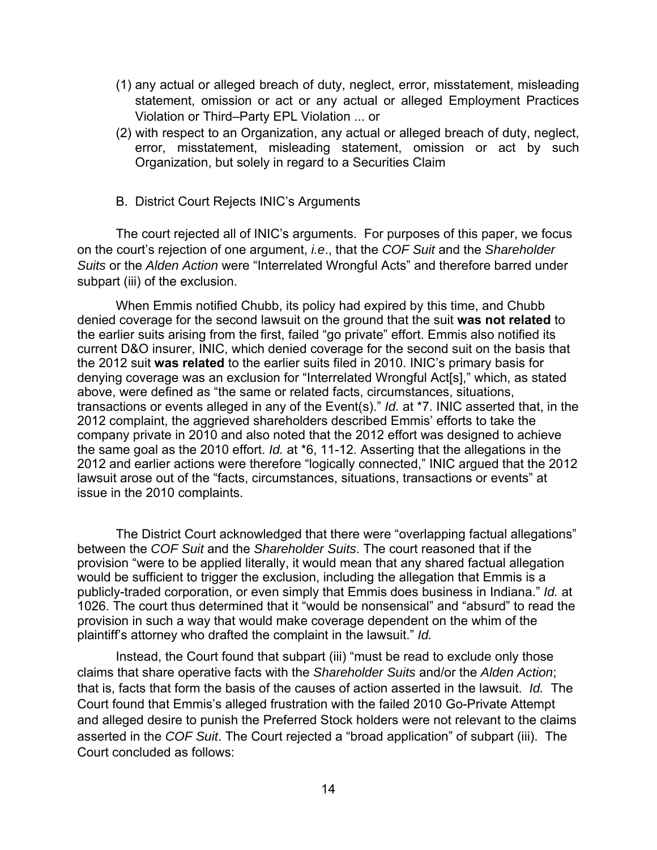- (1) any actual or alleged breach of duty, neglect, error, misstatement, misleading statement, omission or act or any actual or alleged Employment Practices Violation or Third–Party EPL Violation ... or
- (2) with respect to an Organization, any actual or alleged breach of duty, neglect, error, misstatement, misleading statement, omission or act by such Organization, but solely in regard to a Securities Claim
- B. District Court Rejects INIC's Arguments

 The court rejected all of INIC's arguments. For purposes of this paper, we focus on the court's rejection of one argument, *i.e*., that the *COF Suit* and the *Shareholder Suits* or the *Alden Action* were "Interrelated Wrongful Acts" and therefore barred under subpart (iii) of the exclusion.

 When Emmis notified Chubb, its policy had expired by this time, and Chubb denied coverage for the second lawsuit on the ground that the suit **was not related** to the earlier suits arising from the first, failed "go private" effort. Emmis also notified its current D&O insurer, INIC, which denied coverage for the second suit on the basis that the 2012 suit **was related** to the earlier suits filed in 2010. INIC's primary basis for denying coverage was an exclusion for "Interrelated Wrongful Act[s]," which, as stated above, were defined as "the same or related facts, circumstances, situations, transactions or events alleged in any of the Event(s)." *Id.* at \*7. INIC asserted that, in the 2012 complaint, the aggrieved shareholders described Emmis' efforts to take the company private in 2010 and also noted that the 2012 effort was designed to achieve the same goal as the 2010 effort. *Id.* at \*6, 11-12. Asserting that the allegations in the 2012 and earlier actions were therefore "logically connected," INIC argued that the 2012 lawsuit arose out of the "facts, circumstances, situations, transactions or events" at issue in the 2010 complaints.

 The District Court acknowledged that there were "overlapping factual allegations" between the *COF Suit* and the *Shareholder Suits*. The court reasoned that if the provision "were to be applied literally, it would mean that any shared factual allegation would be sufficient to trigger the exclusion, including the allegation that Emmis is a publicly-traded corporation, or even simply that Emmis does business in Indiana." *Id.* at 1026. The court thus determined that it "would be nonsensical" and "absurd" to read the provision in such a way that would make coverage dependent on the whim of the plaintiff's attorney who drafted the complaint in the lawsuit." *Id.* 

 Instead, the Court found that subpart (iii) "must be read to exclude only those claims that share operative facts with the *Shareholder Suits* and/or the *Alden Action*; that is, facts that form the basis of the causes of action asserted in the lawsuit. *Id.* The Court found that Emmis's alleged frustration with the failed 2010 Go-Private Attempt and alleged desire to punish the Preferred Stock holders were not relevant to the claims asserted in the *COF Suit*. The Court rejected a "broad application" of subpart (iii). The Court concluded as follows: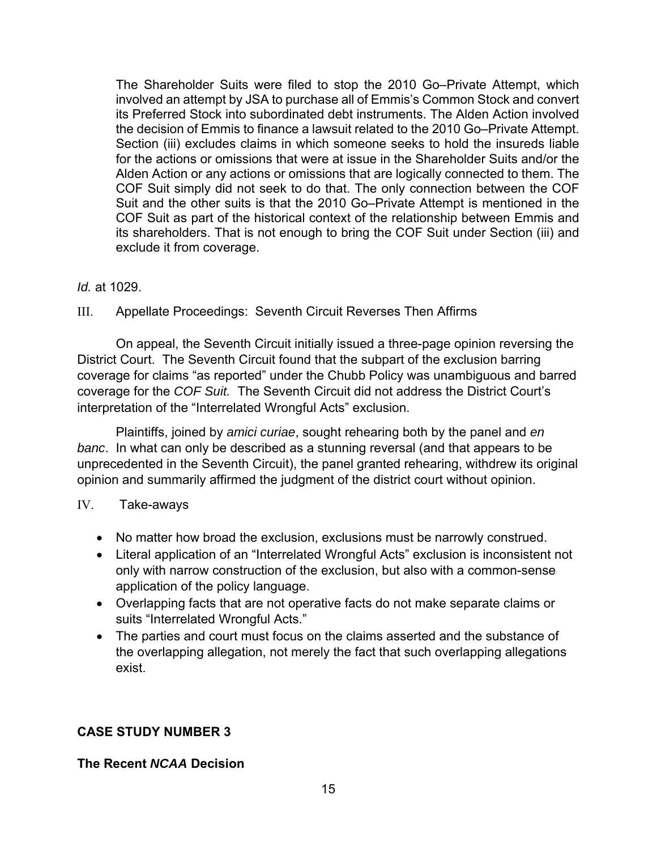The Shareholder Suits were filed to stop the 2010 Go–Private Attempt, which involved an attempt by JSA to purchase all of Emmis's Common Stock and convert its Preferred Stock into subordinated debt instruments. The Alden Action involved the decision of Emmis to finance a lawsuit related to the 2010 Go–Private Attempt. Section (iii) excludes claims in which someone seeks to hold the insureds liable for the actions or omissions that were at issue in the Shareholder Suits and/or the Alden Action or any actions or omissions that are logically connected to them. The COF Suit simply did not seek to do that. The only connection between the COF Suit and the other suits is that the 2010 Go–Private Attempt is mentioned in the COF Suit as part of the historical context of the relationship between Emmis and its shareholders. That is not enough to bring the COF Suit under Section (iii) and exclude it from coverage.

## *Id.* at 1029.

# III. Appellate Proceedings: Seventh Circuit Reverses Then Affirms

 On appeal, the Seventh Circuit initially issued a three-page opinion reversing the District Court. The Seventh Circuit found that the subpart of the exclusion barring coverage for claims "as reported" under the Chubb Policy was unambiguous and barred coverage for the *COF Suit.* The Seventh Circuit did not address the District Court's interpretation of the "Interrelated Wrongful Acts" exclusion.

 Plaintiffs, joined by *amici curiae*, sought rehearing both by the panel and *en banc*. In what can only be described as a stunning reversal (and that appears to be unprecedented in the Seventh Circuit), the panel granted rehearing, withdrew its original opinion and summarily affirmed the judgment of the district court without opinion.

## IV. Take-aways

- No matter how broad the exclusion, exclusions must be narrowly construed.
- Literal application of an "Interrelated Wrongful Acts" exclusion is inconsistent not only with narrow construction of the exclusion, but also with a common-sense application of the policy language.
- Overlapping facts that are not operative facts do not make separate claims or suits "Interrelated Wrongful Acts."
- The parties and court must focus on the claims asserted and the substance of the overlapping allegation, not merely the fact that such overlapping allegations exist.

# **CASE STUDY NUMBER 3**

# **The Recent** *NCAA* **Decision**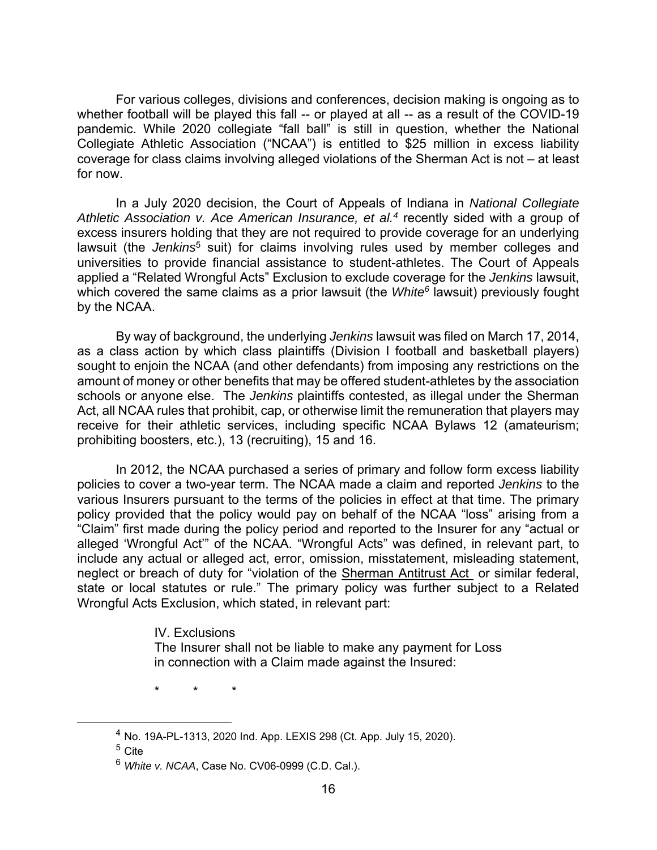For various colleges, divisions and conferences, decision making is ongoing as to whether football will be played this fall -- or played at all -- as a result of the COVID-19 pandemic. While 2020 collegiate "fall ball" is still in question, whether the National Collegiate Athletic Association ("NCAA") is entitled to \$25 million in excess liability coverage for class claims involving alleged violations of the Sherman Act is not – at least for now.

In a July 2020 decision, the Court of Appeals of Indiana in *National Collegiate Athletic Association v. Ace American Insurance, et al.4* recently sided with a group of excess insurers holding that they are not required to provide coverage for an underlying lawsuit (the *Jenkins<sup>5</sup>* suit) for claims involving rules used by member colleges and universities to provide financial assistance to student-athletes. The Court of Appeals applied a "Related Wrongful Acts" Exclusion to exclude coverage for the *Jenkins* lawsuit, which covered the same claims as a prior lawsuit (the *White<sup>6</sup>* lawsuit) previously fought by the NCAA.

 By way of background, the underlying *Jenkins* lawsuit was filed on March 17, 2014, as a class action by which class plaintiffs (Division I football and basketball players) sought to enjoin the NCAA (and other defendants) from imposing any restrictions on the amount of money or other benefits that may be offered student-athletes by the association schools or anyone else. The *Jenkins* plaintiffs contested, as illegal under the Sherman Act, all NCAA rules that prohibit, cap, or otherwise limit the remuneration that players may receive for their athletic services, including specific NCAA Bylaws 12 (amateurism; prohibiting boosters, etc.), 13 (recruiting), 15 and 16.

In 2012, the NCAA purchased a series of primary and follow form excess liability policies to cover a two-year term. The NCAA made a claim and reported *Jenkins* to the various Insurers pursuant to the terms of the policies in effect at that time. The primary policy provided that the policy would pay on behalf of the NCAA "loss" arising from a "Claim" first made during the policy period and reported to the Insurer for any "actual or alleged 'Wrongful Act'" of the NCAA. "Wrongful Acts" was defined, in relevant part, to include any actual or alleged act, error, omission, misstatement, misleading statement, neglect or breach of duty for "violation of the Sherman Antitrust Act or similar federal, state or local statutes or rule." The primary policy was further subject to a Related Wrongful Acts Exclusion, which stated, in relevant part:

#### IV. Exclusions

The Insurer shall not be liable to make any payment for Loss in connection with a Claim made against the Insured:

\* \* \*

 <sup>4</sup> No. 19A-PL-1313, 2020 Ind. App. LEXIS 298 (Ct. App. July 15, 2020).

<sup>5</sup> Cite

<sup>6</sup> *White v. NCAA*, Case No. CV06-0999 (C.D. Cal.).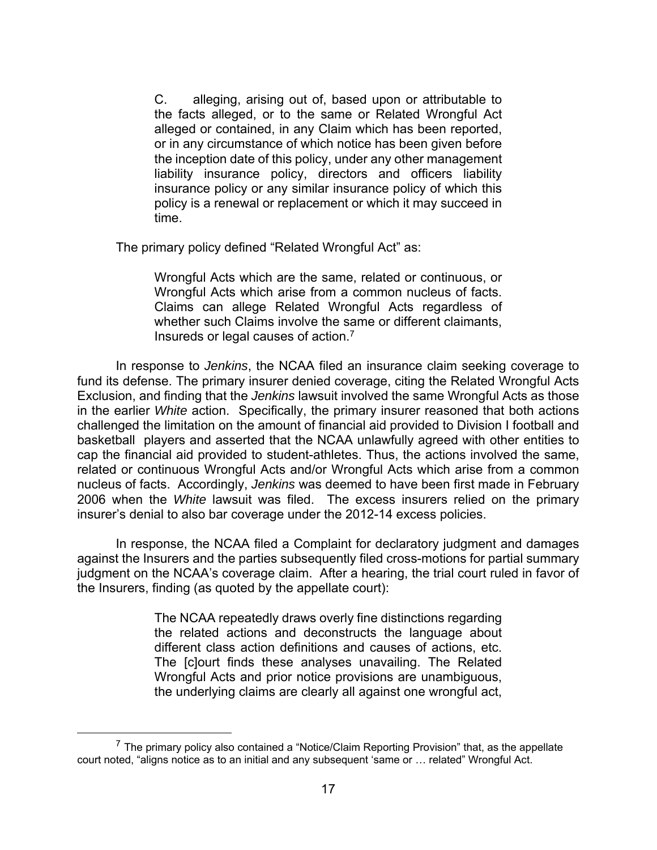C. alleging, arising out of, based upon or attributable to the facts alleged, or to the same or Related Wrongful Act alleged or contained, in any Claim which has been reported, or in any circumstance of which notice has been given before the inception date of this policy, under any other management liability insurance policy, directors and officers liability insurance policy or any similar insurance policy of which this policy is a renewal or replacement or which it may succeed in time.

The primary policy defined "Related Wrongful Act" as:

Wrongful Acts which are the same, related or continuous, or Wrongful Acts which arise from a common nucleus of facts. Claims can allege Related Wrongful Acts regardless of whether such Claims involve the same or different claimants, Insureds or legal causes of action.7

In response to *Jenkins*, the NCAA filed an insurance claim seeking coverage to fund its defense. The primary insurer denied coverage, citing the Related Wrongful Acts Exclusion, and finding that the *Jenkins* lawsuit involved the same Wrongful Acts as those in the earlier *White* action. Specifically, the primary insurer reasoned that both actions challenged the limitation on the amount of financial aid provided to Division I football and basketball players and asserted that the NCAA unlawfully agreed with other entities to cap the financial aid provided to student-athletes. Thus, the actions involved the same, related or continuous Wrongful Acts and/or Wrongful Acts which arise from a common nucleus of facts. Accordingly, *Jenkins* was deemed to have been first made in February 2006 when the *White* lawsuit was filed. The excess insurers relied on the primary insurer's denial to also bar coverage under the 2012-14 excess policies.

In response, the NCAA filed a Complaint for declaratory judgment and damages against the Insurers and the parties subsequently filed cross-motions for partial summary judgment on the NCAA's coverage claim. After a hearing, the trial court ruled in favor of the Insurers, finding (as quoted by the appellate court):

> The NCAA repeatedly draws overly fine distinctions regarding the related actions and deconstructs the language about different class action definitions and causes of actions, etc. The [c]ourt finds these analyses unavailing. The Related Wrongful Acts and prior notice provisions are unambiguous, the underlying claims are clearly all against one wrongful act,

 $7$  The primary policy also contained a "Notice/Claim Reporting Provision" that, as the appellate court noted, "aligns notice as to an initial and any subsequent 'same or … related" Wrongful Act.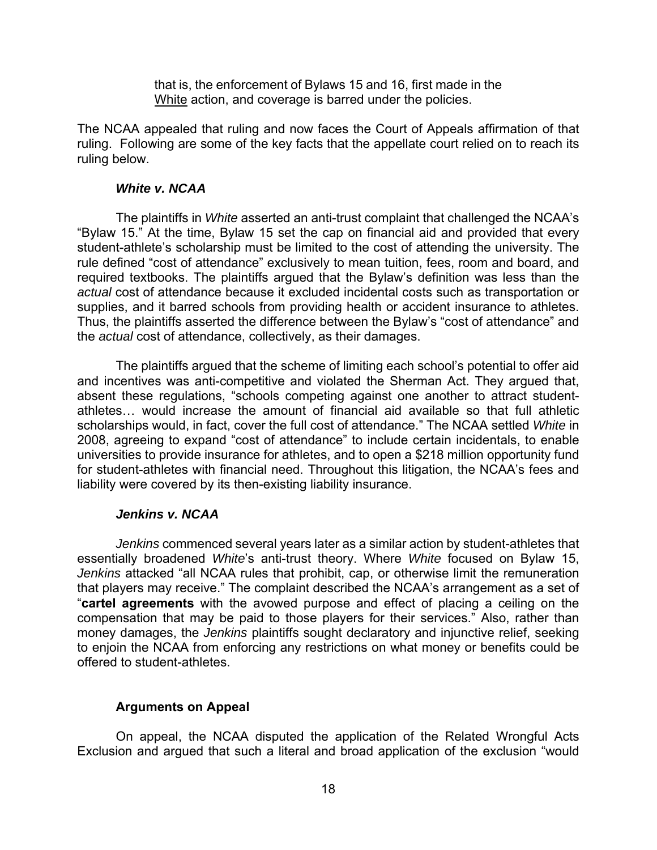that is, the enforcement of Bylaws 15 and 16, first made in the White action, and coverage is barred under the policies.

The NCAA appealed that ruling and now faces the Court of Appeals affirmation of that ruling. Following are some of the key facts that the appellate court relied on to reach its ruling below.

### *White v. NCAA*

The plaintiffs in *White* asserted an anti-trust complaint that challenged the NCAA's "Bylaw 15." At the time, Bylaw 15 set the cap on financial aid and provided that every student-athlete's scholarship must be limited to the cost of attending the university. The rule defined "cost of attendance" exclusively to mean tuition, fees, room and board, and required textbooks. The plaintiffs argued that the Bylaw's definition was less than the *actual* cost of attendance because it excluded incidental costs such as transportation or supplies, and it barred schools from providing health or accident insurance to athletes. Thus, the plaintiffs asserted the difference between the Bylaw's "cost of attendance" and the *actual* cost of attendance, collectively, as their damages.

The plaintiffs argued that the scheme of limiting each school's potential to offer aid and incentives was anti-competitive and violated the Sherman Act. They argued that, absent these regulations, "schools competing against one another to attract studentathletes… would increase the amount of financial aid available so that full athletic scholarships would, in fact, cover the full cost of attendance." The NCAA settled *White* in 2008, agreeing to expand "cost of attendance" to include certain incidentals, to enable universities to provide insurance for athletes, and to open a \$218 million opportunity fund for student-athletes with financial need. Throughout this litigation, the NCAA's fees and liability were covered by its then-existing liability insurance.

## *Jenkins v. NCAA*

*Jenkins* commenced several years later as a similar action by student-athletes that essentially broadened *White*'s anti-trust theory. Where *White* focused on Bylaw 15, *Jenkins* attacked "all NCAA rules that prohibit, cap, or otherwise limit the remuneration that players may receive." The complaint described the NCAA's arrangement as a set of "**cartel agreements** with the avowed purpose and effect of placing a ceiling on the compensation that may be paid to those players for their services." Also, rather than money damages, the *Jenkins* plaintiffs sought declaratory and injunctive relief, seeking to enjoin the NCAA from enforcing any restrictions on what money or benefits could be offered to student-athletes.

## **Arguments on Appeal**

 On appeal, the NCAA disputed the application of the Related Wrongful Acts Exclusion and argued that such a literal and broad application of the exclusion "would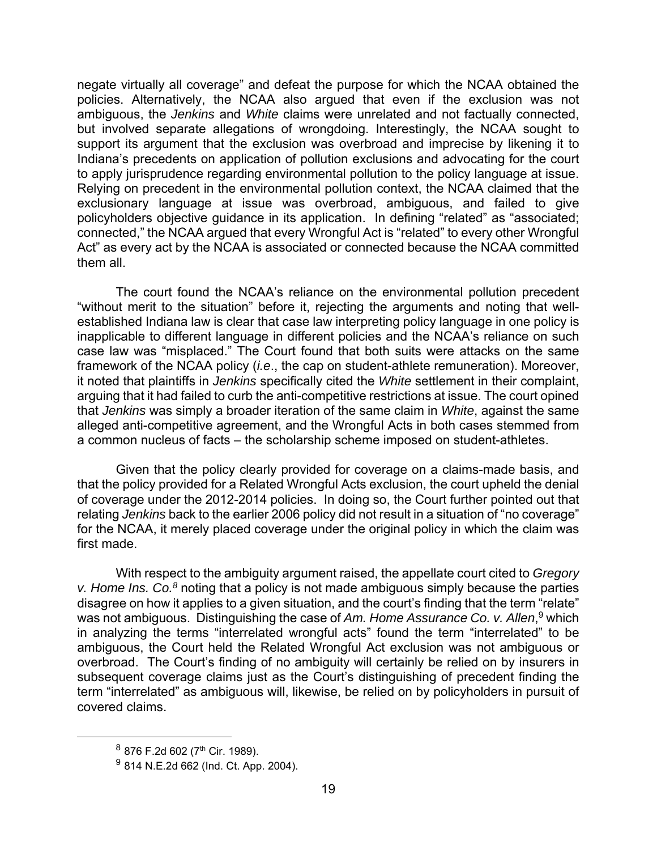negate virtually all coverage" and defeat the purpose for which the NCAA obtained the policies. Alternatively, the NCAA also argued that even if the exclusion was not ambiguous, the *Jenkins* and *White* claims were unrelated and not factually connected, but involved separate allegations of wrongdoing. Interestingly, the NCAA sought to support its argument that the exclusion was overbroad and imprecise by likening it to Indiana's precedents on application of pollution exclusions and advocating for the court to apply jurisprudence regarding environmental pollution to the policy language at issue. Relying on precedent in the environmental pollution context, the NCAA claimed that the exclusionary language at issue was overbroad, ambiguous, and failed to give policyholders objective guidance in its application. In defining "related" as "associated; connected," the NCAA argued that every Wrongful Act is "related" to every other Wrongful Act" as every act by the NCAA is associated or connected because the NCAA committed them all.

The court found the NCAA's reliance on the environmental pollution precedent "without merit to the situation" before it, rejecting the arguments and noting that wellestablished Indiana law is clear that case law interpreting policy language in one policy is inapplicable to different language in different policies and the NCAA's reliance on such case law was "misplaced." The Court found that both suits were attacks on the same framework of the NCAA policy (*i.e*., the cap on student-athlete remuneration). Moreover, it noted that plaintiffs in *Jenkins* specifically cited the *White* settlement in their complaint, arguing that it had failed to curb the anti-competitive restrictions at issue. The court opined that *Jenkins* was simply a broader iteration of the same claim in *White*, against the same alleged anti-competitive agreement, and the Wrongful Acts in both cases stemmed from a common nucleus of facts – the scholarship scheme imposed on student-athletes.

Given that the policy clearly provided for coverage on a claims-made basis, and that the policy provided for a Related Wrongful Acts exclusion, the court upheld the denial of coverage under the 2012-2014 policies. In doing so, the Court further pointed out that relating *Jenkins* back to the earlier 2006 policy did not result in a situation of "no coverage" for the NCAA, it merely placed coverage under the original policy in which the claim was first made.

With respect to the ambiguity argument raised, the appellate court cited to *Gregory v. Home Ins. Co.8* noting that a policy is not made ambiguous simply because the parties disagree on how it applies to a given situation, and the court's finding that the term "relate" was not ambiguous. Distinguishing the case of *Am. Home Assurance Co. v. Allen*, 9 which in analyzing the terms "interrelated wrongful acts" found the term "interrelated" to be ambiguous, the Court held the Related Wrongful Act exclusion was not ambiguous or overbroad. The Court's finding of no ambiguity will certainly be relied on by insurers in subsequent coverage claims just as the Court's distinguishing of precedent finding the term "interrelated" as ambiguous will, likewise, be relied on by policyholders in pursuit of covered claims.

<sup>8 876</sup> F.2d 602 (7<sup>th</sup> Cir. 1989).

<sup>9</sup> 814 N.E.2d 662 (Ind. Ct. App. 2004).